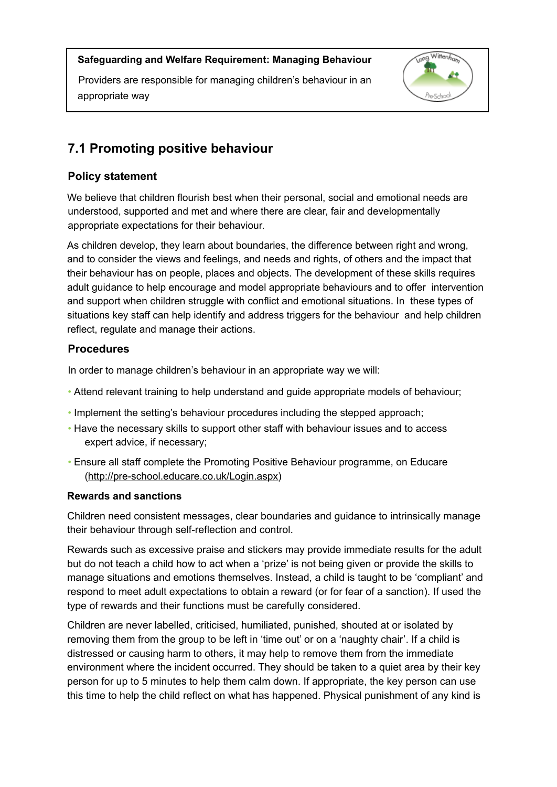## **Safeguarding and Welfare Requirement: Managing Behaviour**

Providers are responsible for managing children's behaviour in an appropriate way



# **7.1 Promoting positive behaviour**

# **Policy statement**

We believe that children flourish best when their personal, social and emotional needs are understood, supported and met and where there are clear, fair and developmentally appropriate expectations for their behaviour.

As children develop, they learn about boundaries, the difference between right and wrong, and to consider the views and feelings, and needs and rights, of others and the impact that their behaviour has on people, places and objects. The development of these skills requires adult guidance to help encourage and model appropriate behaviours and to offer intervention and support when children struggle with conflict and emotional situations. In these types of situations key staff can help identify and address triggers for the behaviour and help children reflect, regulate and manage their actions.

# **Procedures**

In order to manage children's behaviour in an appropriate way we will:

- Attend relevant training to help understand and guide appropriate models of behaviour;
- Implement the setting's behaviour procedures including the stepped approach;
- Have the necessary skills to support other staff with behaviour issues and to access expert advice, if necessary;
- Ensure all staff complete the Promoting Positive Behaviour programme, on Educare (http://pre-school.educare.co.uk/Login.aspx)

## **Rewards and sanctions**

Children need consistent messages, clear boundaries and guidance to intrinsically manage their behaviour through self-reflection and control.

Rewards such as excessive praise and stickers may provide immediate results for the adult but do not teach a child how to act when a 'prize' is not being given or provide the skills to manage situations and emotions themselves. Instead, a child is taught to be 'compliant' and respond to meet adult expectations to obtain a reward (or for fear of a sanction). If used the type of rewards and their functions must be carefully considered.

Children are never labelled, criticised, humiliated, punished, shouted at or isolated by removing them from the group to be left in 'time out' or on a 'naughty chair'. If a child is distressed or causing harm to others, it may help to remove them from the immediate environment where the incident occurred. They should be taken to a quiet area by their key person for up to 5 minutes to help them calm down. If appropriate, the key person can use this time to help the child reflect on what has happened. Physical punishment of any kind is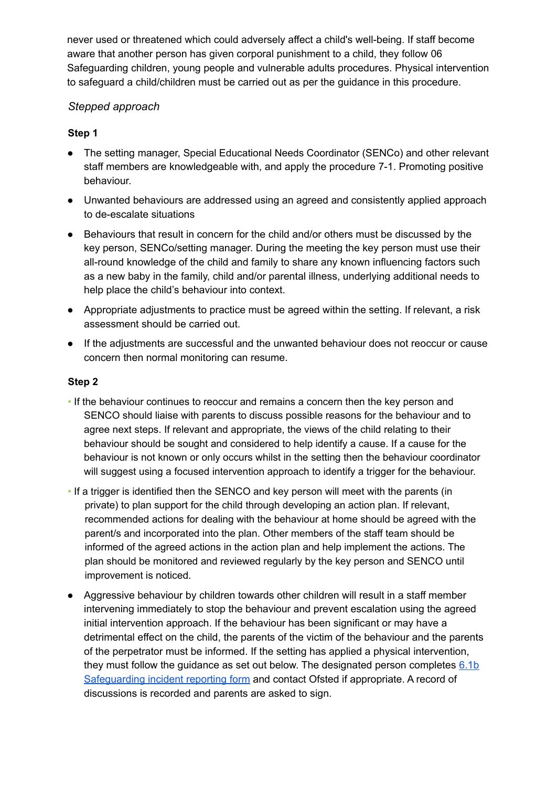never used or threatened which could adversely affect a child's well-being. If staff become aware that another person has given corporal punishment to a child, they follow 06 Safeguarding children, young people and vulnerable adults procedures. Physical intervention to safeguard a child/children must be carried out as per the guidance in this procedure.

# *Stepped approach*

# **Step 1**

- The setting manager, Special Educational Needs Coordinator (SENCo) and other relevant staff members are knowledgeable with, and apply the procedure 7-1. Promoting positive behaviour.
- Unwanted behaviours are addressed using an agreed and consistently applied approach to de-escalate situations
- Behaviours that result in concern for the child and/or others must be discussed by the key person, SENCo/setting manager. During the meeting the key person must use their all-round knowledge of the child and family to share any known influencing factors such as a new baby in the family, child and/or parental illness, underlying additional needs to help place the child's behaviour into context.
- **●** Appropriate adjustments to practice must be agreed within the setting. If relevant, a risk assessment should be carried out.
- If the adjustments are successful and the unwanted behaviour does not reoccur or cause concern then normal monitoring can resume.

## **Step 2**

- If the behaviour continues to reoccur and remains a concern then the key person and SENCO should liaise with parents to discuss possible reasons for the behaviour and to agree next steps. If relevant and appropriate, the views of the child relating to their behaviour should be sought and considered to help identify a cause. If a cause for the behaviour is not known or only occurs whilst in the setting then the behaviour coordinator will suggest using a focused intervention approach to identify a trigger for the behaviour.
- If a trigger is identified then the SENCO and key person will meet with the parents (in private) to plan support for the child through developing an action plan. If relevant, recommended actions for dealing with the behaviour at home should be agreed with the parent/s and incorporated into the plan. Other members of the staff team should be informed of the agreed actions in the action plan and help implement the actions. The plan should be monitored and reviewed regularly by the key person and SENCO until improvement is noticed.
- Aggressive behaviour by children towards other children will result in a staff member intervening immediately to stop the behaviour and prevent escalation using the agreed initial intervention approach. If the behaviour has been significant or may have a detrimental effect on the child, the parents of the victim of the behaviour and the parents of the perpetrator must be informed. If the setting has applied a physical intervention, they must follow the guidance as set out below. The designated person completes  $6.1b$ [Safeguarding](https://docs.google.com/document/d/1fT-qQMuknrADQap7HOSk_6SFOaa3EDCB/edit?usp=sharing&ouid=113467944254663834453&rtpof=true&sd=true) incident reporting form and contact Ofsted if appropriate. A record of discussions is recorded and parents are asked to sign.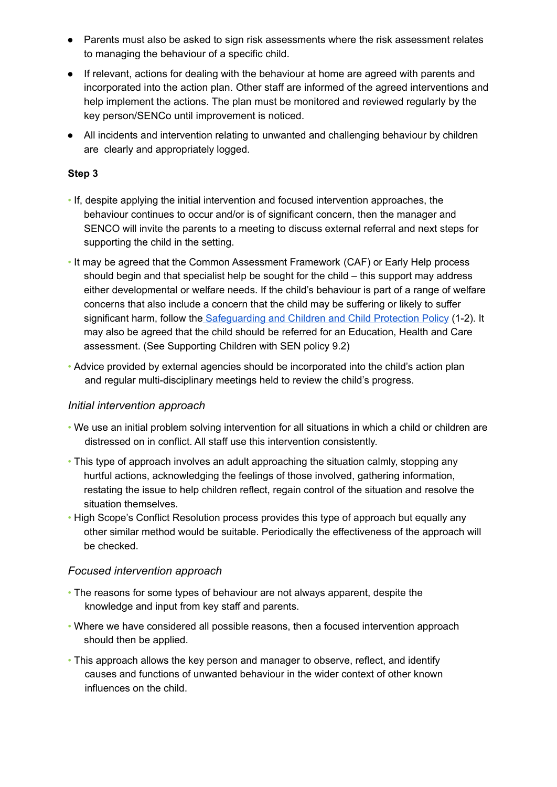- Parents must also be asked to sign risk assessments where the risk assessment relates to managing the behaviour of a specific child.
- If relevant, actions for dealing with the behaviour at home are agreed with parents and incorporated into the action plan. Other staff are informed of the agreed interventions and help implement the actions. The plan must be monitored and reviewed regularly by the key person/SENCo until improvement is noticed.
- All incidents and intervention relating to unwanted and challenging behaviour by children are clearly and appropriately logged.

## **Step 3**

- If, despite applying the initial intervention and focused intervention approaches, the behaviour continues to occur and/or is of significant concern, then the manager and SENCO will invite the parents to a meeting to discuss external referral and next steps for supporting the child in the setting.
- It may be agreed that the Common Assessment Framework (CAF) or Early Help process should begin and that specialist help be sought for the child – this support may address either developmental or welfare needs. If the child's behaviour is part of a range of welfare concerns that also include a concern that the child may be suffering or likely to suffer significant harm, follow the [Safeguarding](https://docs.google.com/document/d/1r_F_u-ANnuEBdtN9KMLDtKRMdGGs9oq7/edit?usp=sharing&ouid=113467944254663834453&rtpof=true&sd=true) and Children and Child Protection Policy (1-2). It may also be agreed that the child should be referred for an Education, Health and Care assessment. (See Supporting Children with SEN policy 9.2)
- Advice provided by external agencies should be incorporated into the child's action plan and regular multi-disciplinary meetings held to review the child's progress.

#### *Initial intervention approach*

- We use an initial problem solving intervention for all situations in which a child or children are distressed on in conflict. All staff use this intervention consistently.
- This type of approach involves an adult approaching the situation calmly, stopping any hurtful actions, acknowledging the feelings of those involved, gathering information, restating the issue to help children reflect, regain control of the situation and resolve the situation themselves.
- High Scope's Conflict Resolution process provides this type of approach but equally any other similar method would be suitable. Periodically the effectiveness of the approach will be checked.

#### *Focused intervention approach*

- The reasons for some types of behaviour are not always apparent, despite the knowledge and input from key staff and parents.
- Where we have considered all possible reasons, then a focused intervention approach should then be applied.
- This approach allows the key person and manager to observe, reflect, and identify causes and functions of unwanted behaviour in the wider context of other known influences on the child.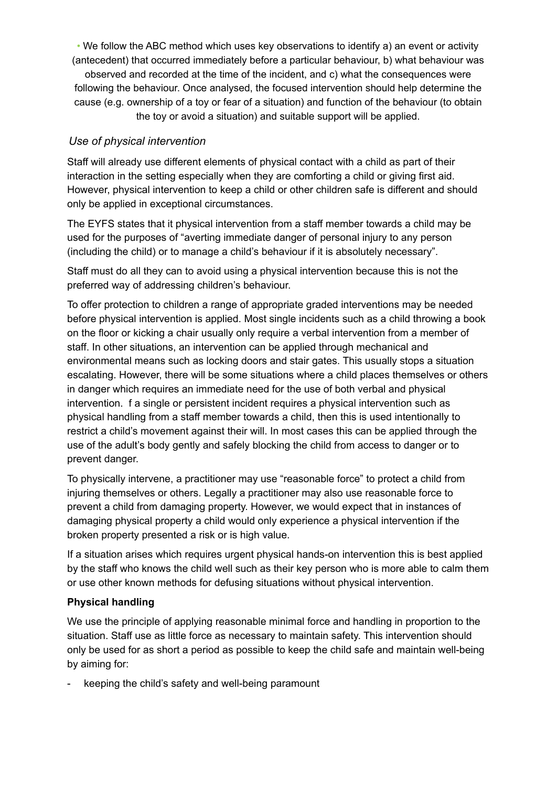• We follow the ABC method which uses key observations to identify a) an event or activity (antecedent) that occurred immediately before a particular behaviour, b) what behaviour was observed and recorded at the time of the incident, and c) what the consequences were following the behaviour. Once analysed, the focused intervention should help determine the cause (e.g. ownership of a toy or fear of a situation) and function of the behaviour (to obtain the toy or avoid a situation) and suitable support will be applied.

# *Use of physical intervention*

Staff will already use different elements of physical contact with a child as part of their interaction in the setting especially when they are comforting a child or giving first aid. However, physical intervention to keep a child or other children safe is different and should only be applied in exceptional circumstances.

The EYFS states that it physical intervention from a staff member towards a child may be used for the purposes of "averting immediate danger of personal injury to any person (including the child) or to manage a child's behaviour if it is absolutely necessary".

Staff must do all they can to avoid using a physical intervention because this is not the preferred way of addressing children's behaviour.

To offer protection to children a range of appropriate graded interventions may be needed before physical intervention is applied. Most single incidents such as a child throwing a book on the floor or kicking a chair usually only require a verbal intervention from a member of staff. In other situations, an intervention can be applied through mechanical and environmental means such as locking doors and stair gates. This usually stops a situation escalating. However, there will be some situations where a child places themselves or others in danger which requires an immediate need for the use of both verbal and physical intervention. f a single or persistent incident requires a physical intervention such as physical handling from a staff member towards a child, then this is used intentionally to restrict a child's movement against their will. In most cases this can be applied through the use of the adult's body gently and safely blocking the child from access to danger or to prevent danger.

To physically intervene, a practitioner may use "reasonable force" to protect a child from injuring themselves or others. Legally a practitioner may also use reasonable force to prevent a child from damaging property. However, we would expect that in instances of damaging physical property a child would only experience a physical intervention if the broken property presented a risk or is high value.

If a situation arises which requires urgent physical hands-on intervention this is best applied by the staff who knows the child well such as their key person who is more able to calm them or use other known methods for defusing situations without physical intervention.

## **Physical handling**

We use the principle of applying reasonable minimal force and handling in proportion to the situation. Staff use as little force as necessary to maintain safety. This intervention should only be used for as short a period as possible to keep the child safe and maintain well-being by aiming for:

keeping the child's safety and well-being paramount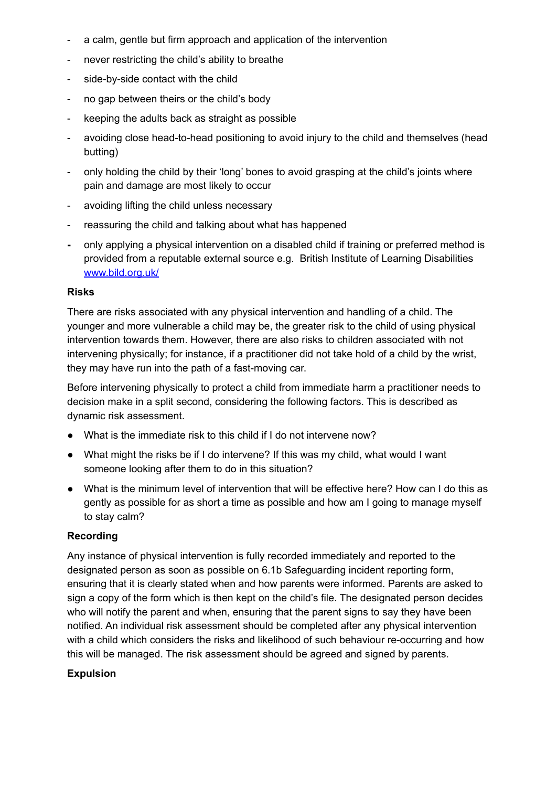- a calm, gentle but firm approach and application of the intervention
- never restricting the child's ability to breathe
- side-by-side contact with the child
- no gap between theirs or the child's body
- keeping the adults back as straight as possible
- avoiding close head-to-head positioning to avoid injury to the child and themselves (head butting)
- only holding the child by their 'long' bones to avoid grasping at the child's joints where pain and damage are most likely to occur
- avoiding lifting the child unless necessary
- reassuring the child and talking about what has happened
- **-** only applying a physical intervention on a disabled child if training or preferred method is provided from a reputable external source e.g. British Institute of Learning Disabilities [www.bild.org.uk/](http://www.bild.org.uk/)

#### **Risks**

There are risks associated with any physical intervention and handling of a child. The younger and more vulnerable a child may be, the greater risk to the child of using physical intervention towards them. However, there are also risks to children associated with not intervening physically; for instance, if a practitioner did not take hold of a child by the wrist, they may have run into the path of a fast-moving car.

Before intervening physically to protect a child from immediate harm a practitioner needs to decision make in a split second, considering the following factors. This is described as dynamic risk assessment.

- What is the immediate risk to this child if I do not intervene now?
- What might the risks be if I do intervene? If this was my child, what would I want someone looking after them to do in this situation?
- What is the minimum level of intervention that will be effective here? How can I do this as gently as possible for as short a time as possible and how am I going to manage myself to stay calm?

#### **Recording**

Any instance of physical intervention is fully recorded immediately and reported to the designated person as soon as possible on 6.1b Safeguarding incident reporting form, ensuring that it is clearly stated when and how parents were informed. Parents are asked to sign a copy of the form which is then kept on the child's file. The designated person decides who will notify the parent and when, ensuring that the parent signs to say they have been notified. An individual risk assessment should be completed after any physical intervention with a child which considers the risks and likelihood of such behaviour re-occurring and how this will be managed. The risk assessment should be agreed and signed by parents.

#### **Expulsion**